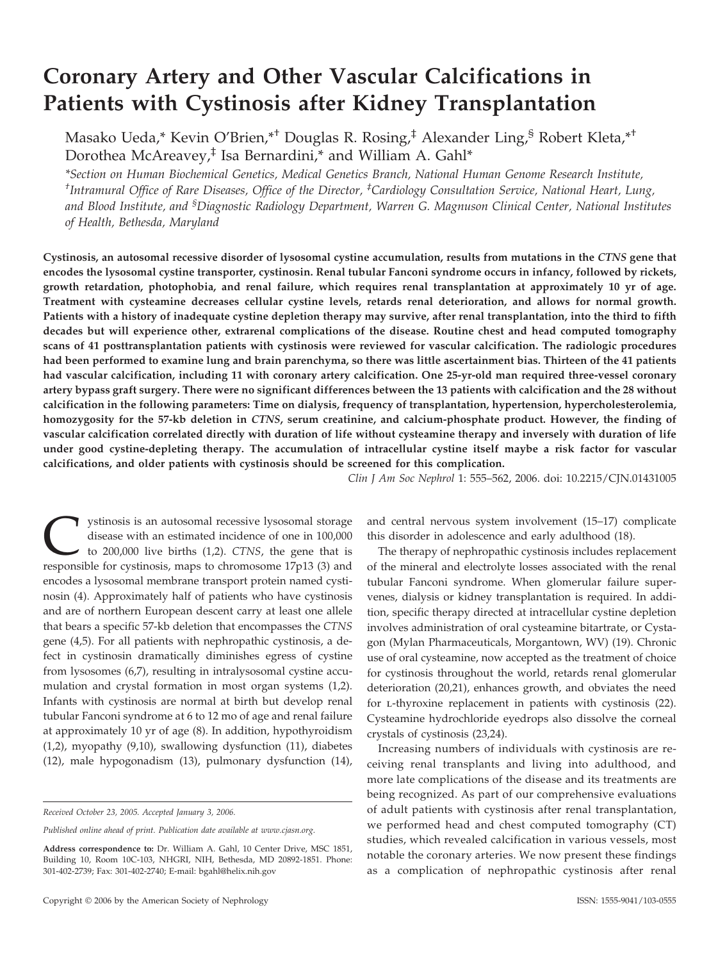# **Coronary Artery and Other Vascular Calcifications in Patients with Cystinosis after Kidney Transplantation**

Masako Ueda,\* Kevin O'Brien,\*† Douglas R. Rosing,‡ Alexander Ling,§ Robert Kleta,\*† Dorothea McAreavey,‡ Isa Bernardini,\* and William A. Gahl\*

*\*Section on Human Biochemical Genetics, Medical Genetics Branch, National Human Genome Research Institute, † Intramural Office of Rare Diseases, Office of the Director, ‡ Cardiology Consultation Service, National Heart, Lung, and Blood Institute, and § Diagnostic Radiology Department, Warren G. Magnuson Clinical Center, National Institutes of Health, Bethesda, Maryland*

**Cystinosis, an autosomal recessive disorder of lysosomal cystine accumulation, results from mutations in the** *CTNS* **gene that encodes the lysosomal cystine transporter, cystinosin. Renal tubular Fanconi syndrome occurs in infancy, followed by rickets, growth retardation, photophobia, and renal failure, which requires renal transplantation at approximately 10 yr of age. Treatment with cysteamine decreases cellular cystine levels, retards renal deterioration, and allows for normal growth. Patients with a history of inadequate cystine depletion therapy may survive, after renal transplantation, into the third to fifth decades but will experience other, extrarenal complications of the disease. Routine chest and head computed tomography scans of 41 posttransplantation patients with cystinosis were reviewed for vascular calcification. The radiologic procedures had been performed to examine lung and brain parenchyma, so there was little ascertainment bias. Thirteen of the 41 patients had vascular calcification, including 11 with coronary artery calcification. One 25-yr-old man required three-vessel coronary artery bypass graft surgery. There were no significant differences between the 13 patients with calcification and the 28 without calcification in the following parameters: Time on dialysis, frequency of transplantation, hypertension, hypercholesterolemia, homozygosity for the 57-kb deletion in** *CTNS***, serum creatinine, and calcium-phosphate product. However, the finding of vascular calcification correlated directly with duration of life without cysteamine therapy and inversely with duration of life under good cystine-depleting therapy. The accumulation of intracellular cystine itself maybe a risk factor for vascular calcifications, and older patients with cystinosis should be screened for this complication.**

*Clin J Am Soc Nephrol* 1: 555–562, 2006. doi: 10.2215/CJN.01431005

ystinosis is an autosomal recessive lysosomal storage<br>disease with an estimated incidence of one in 100,000<br>to 200,000 live births (1,2). CTNS, the gene that is<br>responsible for cystinosis, maps to chromosome 17p13 (3) and disease with an estimated incidence of one in 100,000 to 200,000 live births (1,2). *CTNS*, the gene that is responsible for cystinosis, maps to chromosome 17p13 (3) and encodes a lysosomal membrane transport protein named cystinosin (4). Approximately half of patients who have cystinosis and are of northern European descent carry at least one allele that bears a specific 57-kb deletion that encompasses the *CTNS* gene (4,5). For all patients with nephropathic cystinosis, a defect in cystinosin dramatically diminishes egress of cystine from lysosomes (6,7), resulting in intralysosomal cystine accumulation and crystal formation in most organ systems (1,2). Infants with cystinosis are normal at birth but develop renal tubular Fanconi syndrome at 6 to 12 mo of age and renal failure at approximately 10 yr of age (8). In addition, hypothyroidism (1,2), myopathy (9,10), swallowing dysfunction (11), diabetes (12), male hypogonadism (13), pulmonary dysfunction (14), and central nervous system involvement (15–17) complicate this disorder in adolescence and early adulthood (18).

The therapy of nephropathic cystinosis includes replacement of the mineral and electrolyte losses associated with the renal tubular Fanconi syndrome. When glomerular failure supervenes, dialysis or kidney transplantation is required. In addition, specific therapy directed at intracellular cystine depletion involves administration of oral cysteamine bitartrate, or Cystagon (Mylan Pharmaceuticals, Morgantown, WV) (19). Chronic use of oral cysteamine, now accepted as the treatment of choice for cystinosis throughout the world, retards renal glomerular deterioration (20,21), enhances growth, and obviates the need for l-thyroxine replacement in patients with cystinosis (22). Cysteamine hydrochloride eyedrops also dissolve the corneal crystals of cystinosis (23,24).

Increasing numbers of individuals with cystinosis are receiving renal transplants and living into adulthood, and more late complications of the disease and its treatments are being recognized. As part of our comprehensive evaluations of adult patients with cystinosis after renal transplantation, we performed head and chest computed tomography (CT) studies, which revealed calcification in various vessels, most notable the coronary arteries. We now present these findings as a complication of nephropathic cystinosis after renal

*Received October 23, 2005. Accepted January 3, 2006.*

*Published online ahead of print. Publication date available at www.cjasn.org.*

**Address correspondence to:** Dr. William A. Gahl, 10 Center Drive, MSC 1851, Building 10, Room 10C-103, NHGRI, NIH, Bethesda, MD 20892-1851. Phone: 301-402-2739; Fax: 301-402-2740; E-mail: bgahl@helix.nih.gov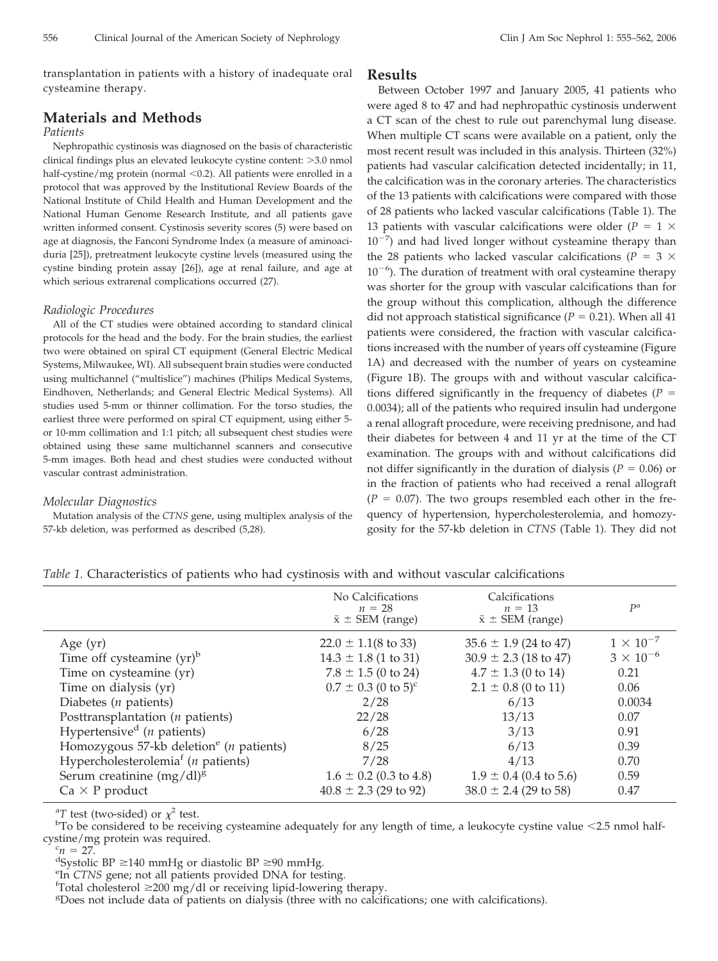transplantation in patients with a history of inadequate oral cysteamine therapy.

## **Materials and Methods**

## *Patients*

Nephropathic cystinosis was diagnosed on the basis of characteristic clinical findings plus an elevated leukocyte cystine content: 3.0 nmol half-cystine/mg protein (normal <0.2). All patients were enrolled in a protocol that was approved by the Institutional Review Boards of the National Institute of Child Health and Human Development and the National Human Genome Research Institute, and all patients gave written informed consent. Cystinosis severity scores (5) were based on age at diagnosis, the Fanconi Syndrome Index (a measure of aminoaciduria [25]), pretreatment leukocyte cystine levels (measured using the cystine binding protein assay [26]), age at renal failure, and age at which serious extrarenal complications occurred (27).

#### *Radiologic Procedures*

All of the CT studies were obtained according to standard clinical protocols for the head and the body. For the brain studies, the earliest two were obtained on spiral CT equipment (General Electric Medical Systems, Milwaukee, WI). All subsequent brain studies were conducted using multichannel ("multislice") machines (Philips Medical Systems, Eindhoven, Netherlands; and General Electric Medical Systems). All studies used 5-mm or thinner collimation. For the torso studies, the earliest three were performed on spiral CT equipment, using either 5 or 10-mm collimation and 1:1 pitch; all subsequent chest studies were obtained using these same multichannel scanners and consecutive 5-mm images. Both head and chest studies were conducted without vascular contrast administration.

#### *Molecular Diagnostics*

Mutation analysis of the *CTNS* gene, using multiplex analysis of the 57-kb deletion, was performed as described (5,28).

### **Results**

Between October 1997 and January 2005, 41 patients who were aged 8 to 47 and had nephropathic cystinosis underwent a CT scan of the chest to rule out parenchymal lung disease. When multiple CT scans were available on a patient, only the most recent result was included in this analysis. Thirteen (32%) patients had vascular calcification detected incidentally; in 11, the calcification was in the coronary arteries. The characteristics of the 13 patients with calcifications were compared with those of 28 patients who lacked vascular calcifications (Table 1). The 13 patients with vascular calcifications were older ( $P = 1 \times$  $10^{-7}$ ) and had lived longer without cysteamine therapy than the 28 patients who lacked vascular calcifications ( $P = 3 \times$  $10^{-6}$ ). The duration of treatment with oral cysteamine therapy was shorter for the group with vascular calcifications than for the group without this complication, although the difference did not approach statistical significance  $(P = 0.21)$ . When all 41 patients were considered, the fraction with vascular calcifications increased with the number of years off cysteamine (Figure 1A) and decreased with the number of years on cysteamine (Figure 1B). The groups with and without vascular calcifications differed significantly in the frequency of diabetes  $(P =$ 0.0034); all of the patients who required insulin had undergone a renal allograft procedure, were receiving prednisone, and had their diabetes for between 4 and 11 yr at the time of the CT examination. The groups with and without calcifications did not differ significantly in the duration of dialysis ( $P = 0.06$ ) or in the fraction of patients who had received a renal allograft  $(P = 0.07)$ . The two groups resembled each other in the frequency of hypertension, hypercholesterolemia, and homozygosity for the 57-kb deletion in *CTNS* (Table 1). They did not

| <i>Table 1.</i> Characteristics of patients who had cystinosis with and without vascular calcifications |  |  |  |
|---------------------------------------------------------------------------------------------------------|--|--|--|
|---------------------------------------------------------------------------------------------------------|--|--|--|

|                                                        | No Calcifications<br>$n = 28$<br>$\bar{x}$ ± SEM (range) | Calcifications<br>$n = 13$<br>$\bar{x}$ ± SEM (range) | $P^a$              |
|--------------------------------------------------------|----------------------------------------------------------|-------------------------------------------------------|--------------------|
| Age $(yr)$                                             | $22.0 \pm 1.1(8 \text{ to } 33)$                         | $35.6 \pm 1.9$ (24 to 47)                             | $1 \times 10^{-7}$ |
| Time off cysteamine $(yr)^b$                           | $14.3 \pm 1.8$ (1 to 31)                                 | $30.9 \pm 2.3$ (18 to 47)                             | $3 \times 10^{-6}$ |
| Time on cysteamine (yr)                                | $7.8 \pm 1.5$ (0 to 24)                                  | $4.7 \pm 1.3$ (0 to 14)                               | 0.21               |
| Time on dialysis (yr)                                  | $0.7 \pm 0.3$ (0 to 5) <sup>c</sup>                      | $2.1 \pm 0.8$ (0 to 11)                               | 0.06               |
| Diabetes $(n \text{ patients})$                        | 2/28                                                     | 6/13                                                  | 0.0034             |
| Posttransplantation ( $n$ patients)                    | 22/28                                                    | 13/13                                                 | 0.07               |
| Hypertensive <sup>d</sup> ( <i>n</i> patients)         | 6/28                                                     | 3/13                                                  | 0.91               |
| Homozygous 57-kb deletion <sup>e</sup> ( $n$ patients) | 8/25                                                     | 6/13                                                  | 0.39               |
| Hypercholesterolemia <sup>f</sup> ( $n$ patients)      | 7/28                                                     | 4/13                                                  | 0.70               |
| Serum creatinine $(mg/dl)^g$                           | $1.6 \pm 0.2$ (0.3 to 4.8)                               | $1.9 \pm 0.4$ (0.4 to 5.6)                            | 0.59               |
| $Ca \times P$ product                                  | $40.8 \pm 2.3$ (29 to 92)                                | $38.0 \pm 2.4$ (29 to 58)                             | 0.47               |

<sup>a</sup>T test (two-sided) or  $\chi^2$  test.<br><sup>b</sup>To be considered to be recei

To be considered to be receiving cysteamine adequately for any length of time, a leukocyte cystine value -2.5 nmol halfcystine/mg protein was required.

 ${}^{c}n = 27.$ 

 $\rm{^{dB}S}$ ystolic BP  $\geq$ 140 mmHg or diastolic BP  $\geq$ 90 mmHg.<br><sup>eIn</sup> CTMS gane: not all patients provided DNA for tes

<sup>e</sup>In *CTNS* gene; not all patients provided DNA for testing.

Total cholesterol  $\geq$ 200 mg/dl or receiving lipid-lowering therapy.<br><sup>8</sup>Does not include data of patients on dialysis (three with no calcif

Does not include data of patients on dialysis (three with no calcifications; one with calcifications).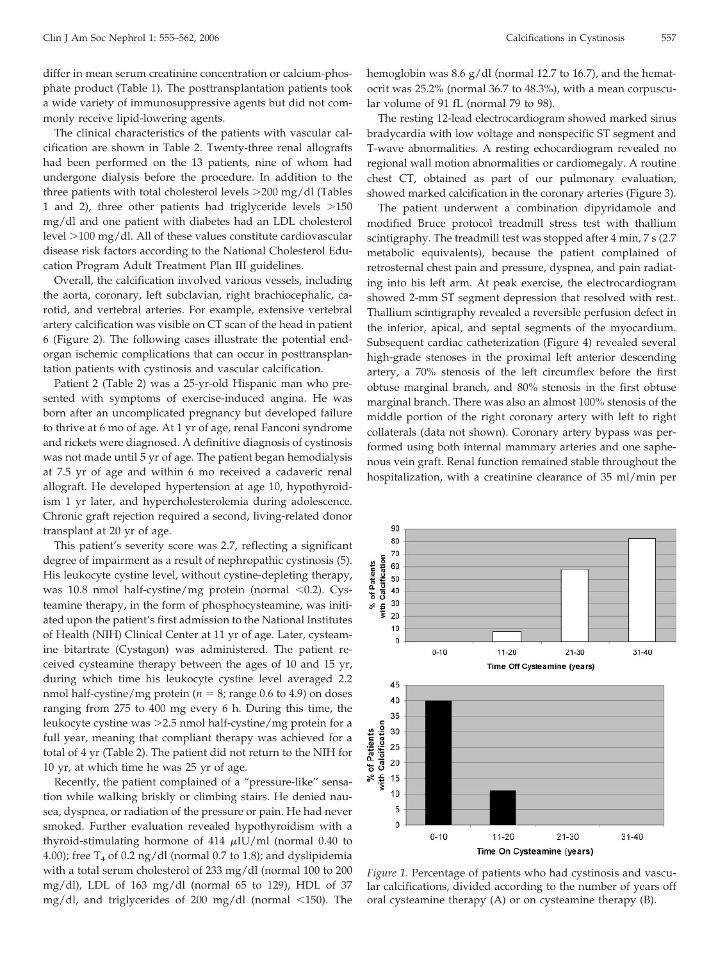Clin J Am Soc Nephrol 1: 555–562, 2006 Calcifications in Cystinosis 557

differ in mean serum creatinine concentration or calcium-phosphate product (Table 1). The posttransplantation patients took a wide variety of immunosuppressive agents but did not commonly receive lipid-lowering agents.

The clinical characteristics of the patients with vascular calcification are shown in Table 2. Twenty-three renal allografts had been performed on the 13 patients, nine of whom had undergone dialysis before the procedure. In addition to the three patients with total cholesterol levels 200 mg/dl (Tables 1 and 2), three other patients had triglyceride levels  $>150$ mg/dl and one patient with diabetes had an LDL cholesterol level  $>100$  mg/dl. All of these values constitute cardiovascular disease risk factors according to the National Cholesterol Education Program Adult Treatment Plan III guidelines.

Overall, the calcification involved various vessels, including the aorta, coronary, left subclavian, right brachiocephalic, carotid, and vertebral arteries. For example, extensive vertebral artery calcification was visible on CT scan of the head in patient 6 (Figure 2). The following cases illustrate the potential endorgan ischemic complications that can occur in posttransplantation patients with cystinosis and vascular calcification.

Patient 2 (Table 2) was a 25-yr-old Hispanic man who presented with symptoms of exercise-induced angina. He was born after an uncomplicated pregnancy but developed failure to thrive at 6 mo of age. At 1 yr of age, renal Fanconi syndrome and rickets were diagnosed. A definitive diagnosis of cystinosis was not made until 5 yr of age. The patient began hemodialysis at 7.5 yr of age and within 6 mo received a cadaveric renal allograft. He developed hypertension at age 10, hypothyroidism 1 yr later, and hypercholesterolemia during adolescence. Chronic graft rejection required a second, living-related donor transplant at 20 yr of age.

This patient's severity score was 2.7, reflecting a significant degree of impairment as a result of nephropathic cystinosis (5). His leukocyte cystine level, without cystine-depleting therapy, was 10.8 nmol half-cystine/mg protein (normal <0.2). Cysteamine therapy, in the form of phosphocysteamine, was initiated upon the patient's first admission to the National Institutes of Health (NIH) Clinical Center at 11 yr of age. Later, cysteamine bitartrate (Cystagon) was administered. The patient received cysteamine therapy between the ages of 10 and 15 yr, during which time his leukocyte cystine level averaged 2.2 nmol half-cystine/mg protein ( $n = 8$ ; range 0.6 to 4.9) on doses ranging from 275 to 400 mg every 6 h. During this time, the leukocyte cystine was 2.5 nmol half-cystine/mg protein for a full year, meaning that compliant therapy was achieved for a total of 4 yr (Table 2). The patient did not return to the NIH for 10 yr, at which time he was 25 yr of age.

Recently, the patient complained of a "pressure-like" sensation while walking briskly or climbing stairs. He denied nausea, dyspnea, or radiation of the pressure or pain. He had never smoked. Further evaluation revealed hypothyroidism with a thyroid-stimulating hormone of 414  $\mu$ IU/ml (normal 0.40 to 4.00); free  $T_4$  of 0.2 ng/dl (normal 0.7 to 1.8); and dyslipidemia with a total serum cholesterol of 233 mg/dl (normal 100 to 200 mg/dl), LDL of 163 mg/dl (normal 65 to 129), HDL of 37 mg/dl, and triglycerides of 200 mg/dl (normal  $\leq$ 150). The

hemoglobin was 8.6 g/dl (normal 12.7 to 16.7), and the hematocrit was 25.2% (normal 36.7 to 48.3%), with a mean corpuscular volume of 91 fL (normal 79 to 98).

The resting 12-lead electrocardiogram showed marked sinus bradycardia with low voltage and nonspecific ST segment and T-wave abnormalities. A resting echocardiogram revealed no regional wall motion abnormalities or cardiomegaly. A routine chest CT, obtained as part of our pulmonary evaluation, showed marked calcification in the coronary arteries (Figure 3).

The patient underwent a combination dipyridamole and modified Bruce protocol treadmill stress test with thallium scintigraphy. The treadmill test was stopped after 4 min, 7 s (2.7 metabolic equivalents), because the patient complained of retrosternal chest pain and pressure, dyspnea, and pain radiating into his left arm. At peak exercise, the electrocardiogram showed 2-mm ST segment depression that resolved with rest. Thallium scintigraphy revealed a reversible perfusion defect in the inferior, apical, and septal segments of the myocardium. Subsequent cardiac catheterization (Figure 4) revealed several high-grade stenoses in the proximal left anterior descending artery, a 70% stenosis of the left circumflex before the first obtuse marginal branch, and 80% stenosis in the first obtuse marginal branch. There was also an almost 100% stenosis of the middle portion of the right coronary artery with left to right collaterals (data not shown). Coronary artery bypass was performed using both internal mammary arteries and one saphenous vein graft. Renal function remained stable throughout the hospitalization, with a creatinine clearance of 35 ml/min per



*Figure 1.* Percentage of patients who had cystinosis and vascular calcifications, divided according to the number of years off oral cysteamine therapy (A) or on cysteamine therapy (B).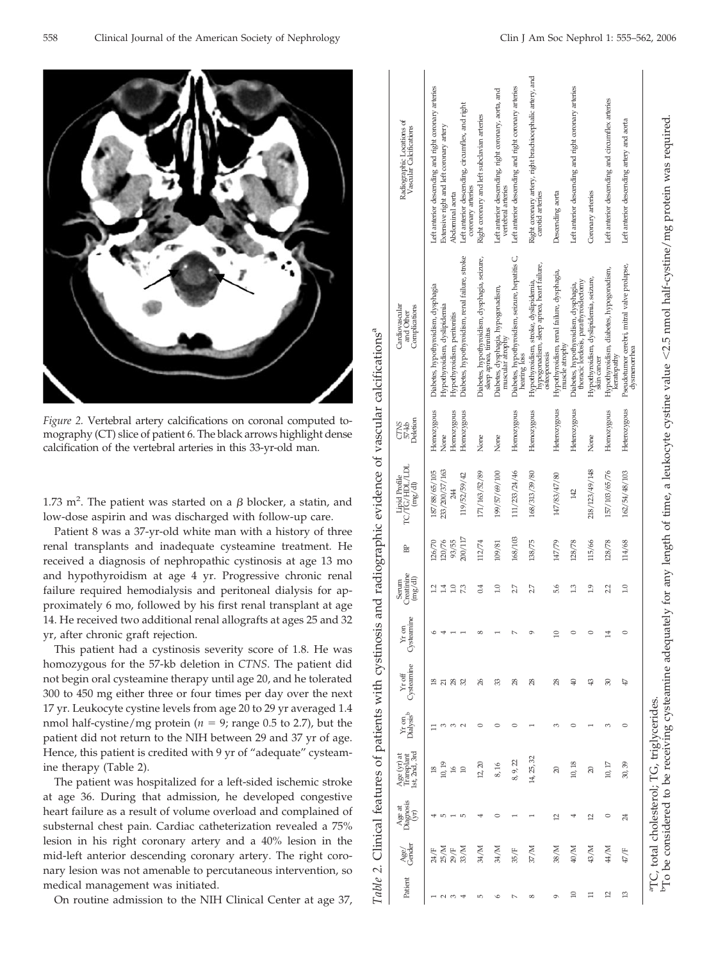*Figure 2.* Vertebral artery calcifications on coronal computed tomography (CT) slice of patient 6. The black arrows highlight dense calcification of the vertebral arteries in this 33-yr-old man.

1.73 m<sup>2</sup>. The patient was started on a  $\beta$  blocker, a statin, and low-dose aspirin and was discharged with follow-up care.

Patient 8 was a 37-yr-old white man with a history of three renal transplants and inadequate cysteamine treatment. He received a diagnosis of nephropathic cystinosis at age 13 mo and hypothyroidism at age 4 yr. Progressive chronic renal failure required hemodialysis and peritoneal dialysis for approximately 6 mo, followed by his first renal transplant at age 14. He received two additional renal allografts at ages 25 and 32 yr, after chronic graft rejection.

This patient had a cystinosis severity score of 1.8. He was homozygous for the 57-kb deletion in *CTNS*. The patient did not begin oral cysteamine therapy until age 20, and he tolerated 300 to 450 mg either three or four times per day over the next 17 yr. Leukocyte cystine levels from age 20 to 29 yr averaged 1.4 nmol half-cystine/mg protein ( $n = 9$ ; range 0.5 to 2.7), but the patient did not return to the NIH between 29 and 37 yr of age. Hence, this patient is credited with 9 yr of "adequate" cysteamine therapy (Table 2).

The patient was hospitalized for a left-sided ischemic stroke at age 36. During that admission, he developed congestive heart failure as a result of volume overload and complained of substernal chest pain. Cardiac catheterization revealed a 75% lesion in his right coronary artery and a 40% lesion in the mid-left anterior descending coronary artery. The right coronary lesion was not amenable to percutaneous intervention, so medical management was initiated.

On routine admission to the NIH Clinical Center at age 37,

Clinical features of patients with cystinosis and radiographic evidence of vascular calcifications<sup>a</sup> *Table* 2. Clinical features of patients with cystinosis and radiographic evidence of vascular calcifications<sup>a</sup>  $\overline{\mathcal{N}}$ 

Patient Age at Age(yr) at yr on Yr off Yr on Serum<br>Patient Cender Dagosis Age(yr) yr yr yr yr off Yr on Central BP TC/TC/LDL C/TC/LDL Cendiovascular<br>Cender Gender Ist, Ard, 3rd Dialysis Cysteamine Creg/di)<br>Deleton Cender S

 $\mathbb B$ 

 $\begin{array}{c} \mbox{Serum} \\ \mbox{Creatinine} \\ \mbox{(mg/dI)} \end{array}$ 

Yr on<br>Cysteanine

Yr off<br>Cysteamine

Yr on<br>Dialysis<sup>b</sup>

Age (yr) at<br>Transplant<br>Ist, 2nd, 3rd

 $\begin{array}{c}\n\text{Age at} \\
\text{Diagnosi} \\
\text{(yr)}\n\end{array}$ 

Age/<br>Gender

Patient

Table .

 $10.19$ 

 $M/5$ 33/M

1/6c

 $\frac{8}{2}$ 

 $\begin{array}{c} \text{Lipid Profile}\\ \text{TC/TG/HDL/LDL}\\ \text{(mg/dl)} \end{array}$ 

 $\begin{array}{c}\n\text{C} \text{TNS} \\
\text{57-46} \\
\text{Deletion}\n\end{array}$ 

1 24/F 24/F 18 18 18 18 18 18/88/66/105 Homozygous Diabetes, hypothyroidism, dysphagia Left anterior descending and right coronary arteries 2 25/M 5 1.4 1.4 120/76 233/200/37/163 None Hypothyroidism, dyslipidemia Extensive right and left coronary artery

126/70 120/76

233/200/37/163 187/88/65/105

Homozygous Homozygous Homozygous

None

Diabetes, hypothyroidism, dysphagia

Hypothyroidism, dyslipidemia Hypothyroidism, peritonitis

Cardiovascular<br>and Other<br>Complications

3 29/F 1 16 3 28 1 1.0 93/55 244 Homozygous Hypothyroidism, peritonitis Abdominal aorta

 $2198$ 

200/117 93/55

4 33/M 5 10 22 10 22 119/52/59/52/59/42 Homozygous Diabetes, hypothyroidism, renal failure, stroke Left anterior descending, circumflex, and right

119/52/59/42 244

5 34/M 4 12, 20 0 26 8 0.4 112/74 171/163/52/89 None Diabetes, hypothyroidism, dysphagia, seizure, sleep apnea, tinnitus Right coronary and left subclavian arteries

171/163/52/89 199/57/69/100

112/74

 $0.4$  $10$ 

109/81

 $\overline{a}$ 

8, 16

 $\overline{a}$ 

M/F

 $12, 20$ 

M/F

None None

coronary arteries

coronary arteries

Left anterior descending, circumflex, and right Right coronary and left subdavian arteries

Diabetes, hypothyroidism, renal failure, stroke Diabetes, hypothyroidism, dysphagia, seizure, Left anterior descending, right coronary, aorta, and

Diabetes, dysphagia, hypogonadism,<br>muscular atrophy

sleep aprica, tinnitus

Left anterior descending and right coronary arteries

Extensive right and left coronary artery

Abdominal aorta

Radiographic Locations of<br>Vascular Calcifications

|                                                                              | المستنصح والمستخدم والمناصب والموالمست والمستح والمستخدم والمستخدم والمستخدم والمستخدم والمستخدم والمستخدم والمستخدم |              |                |         |          |             |    | DTA la analis la la la monda analis analis a la suala<br>otal cholesterol; TG, triglycerides. |              |      |              |
|------------------------------------------------------------------------------|----------------------------------------------------------------------------------------------------------------------|--------------|----------------|---------|----------|-------------|----|-----------------------------------------------------------------------------------------------|--------------|------|--------------|
| Left anterior descending artery and aorta                                    | Pseudotumor cerebri, mitral valve prolapse,<br>dysmenorrhea                                                          | Heterozygous | 162/54/48/103  | 114/68  | $\Xi$    |             |    | 30, 39                                                                                        | 24           |      | $\mathbf{r}$ |
| Left anterior descending and circumflex arteries                             | Hypothyroidism, diabetes, hypogonadism,<br>keratopathy                                                               | Homozygous   | 157/103/65/76  | 128/78  | 22       |             | ඝ  |                                                                                               |              |      | 2            |
| Coronary arteries                                                            | Hypothyroidism, dyslipidemia, seizure,<br>skin cancer                                                                | None         | 218/123/49/148 | 115/66  | $^{0.1}$ |             | ₽  | ≍                                                                                             | $\mathbf{a}$ | 43/M |              |
| Left anterior descending and right coronary arteries                         | thoracic lordosis, parathyroidectomy<br>Diabetes, hypothyroidism, dysphagia,                                         | Heterozygous | 142            | 128/78  |          |             |    |                                                                                               |              |      | $\Xi$        |
| Descending aorta                                                             | Hypothyroidism, renal failure, dysphagia,<br>muscle atrophy                                                          | Heterozygous | 147/83/47/80   | 147/79  | 5.6      | $\supseteq$ | 28 | ສ                                                                                             | 2            | 38/M |              |
| Right coronary artery, right brachiocephalic artery, and<br>carotid arteries | hypogonadism, sleep apnea, heart failure,<br>Hypothyroidism, stroke, dyslipidemia,<br>osteoporosis                   | Homozygous   | 168/313/39/80  | 138/75  | 27       |             | 28 | 14, 25, 32                                                                                    |              | 37/M | $\infty$     |
| Left anterior descending and right coronary arteries                         | Diabetes, hypothyroidism, seizure, hepatitis C,<br>hearing loss                                                      | Homozygous   | 111/233/24/46  | 168/103 | 27       |             | 28 |                                                                                               |              | 35/F | Þ            |
| Left anterior descending, right coronary, aorta, and<br>vertebral arteries   | Diabetes, dysphagia, hypogonadism,<br>muscular atrophy                                                               | None         | 199/57/69/100  | 109/81  | $^{10}$  |             | 33 |                                                                                               |              |      | ७            |

2.5 nmol half-cystine/mg protein was required. be considered to be receiving cysteamine adequately for any length of time, a leukocyte cystine value <<... nmol nair-cystine/mag protein was required. bTo be considered to be receiving cysteamine adequately for any length of time, a leukocyte cystine value  $\overline{a}$ 

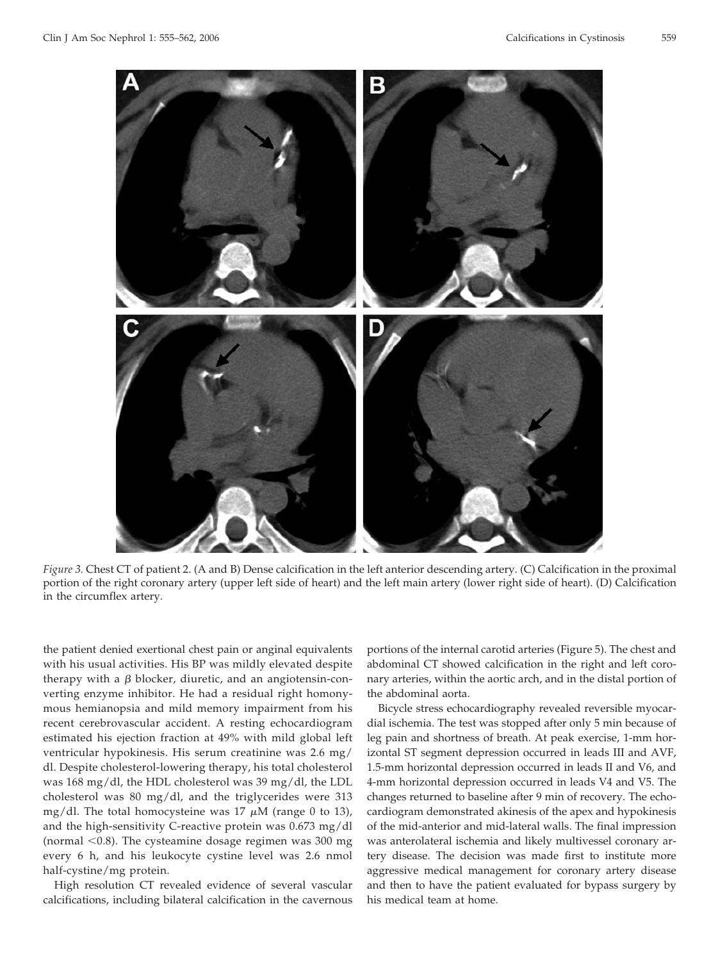

*Figure 3.* Chest CT of patient 2. (A and B) Dense calcification in the left anterior descending artery. (C) Calcification in the proximal portion of the right coronary artery (upper left side of heart) and the left main artery (lower right side of heart). (D) Calcification in the circumflex artery.

the patient denied exertional chest pain or anginal equivalents with his usual activities. His BP was mildly elevated despite therapy with a  $\beta$  blocker, diuretic, and an angiotensin-converting enzyme inhibitor. He had a residual right homonymous hemianopsia and mild memory impairment from his recent cerebrovascular accident. A resting echocardiogram estimated his ejection fraction at 49% with mild global left ventricular hypokinesis. His serum creatinine was 2.6 mg/ dl. Despite cholesterol-lowering therapy, his total cholesterol was 168 mg/dl, the HDL cholesterol was 39 mg/dl, the LDL cholesterol was 80 mg/dl, and the triglycerides were 313 mg/dl. The total homocysteine was 17  $\mu$ M (range 0 to 13), and the high-sensitivity C-reactive protein was 0.673 mg/dl (normal  $<$  0.8). The cysteamine dosage regimen was 300 mg every 6 h, and his leukocyte cystine level was 2.6 nmol half-cystine/mg protein.

High resolution CT revealed evidence of several vascular calcifications, including bilateral calcification in the cavernous portions of the internal carotid arteries (Figure 5). The chest and abdominal CT showed calcification in the right and left coronary arteries, within the aortic arch, and in the distal portion of the abdominal aorta.

Bicycle stress echocardiography revealed reversible myocardial ischemia. The test was stopped after only 5 min because of leg pain and shortness of breath. At peak exercise, 1-mm horizontal ST segment depression occurred in leads III and AVF, 1.5-mm horizontal depression occurred in leads II and V6, and 4-mm horizontal depression occurred in leads V4 and V5. The changes returned to baseline after 9 min of recovery. The echocardiogram demonstrated akinesis of the apex and hypokinesis of the mid-anterior and mid-lateral walls. The final impression was anterolateral ischemia and likely multivessel coronary artery disease. The decision was made first to institute more aggressive medical management for coronary artery disease and then to have the patient evaluated for bypass surgery by his medical team at home.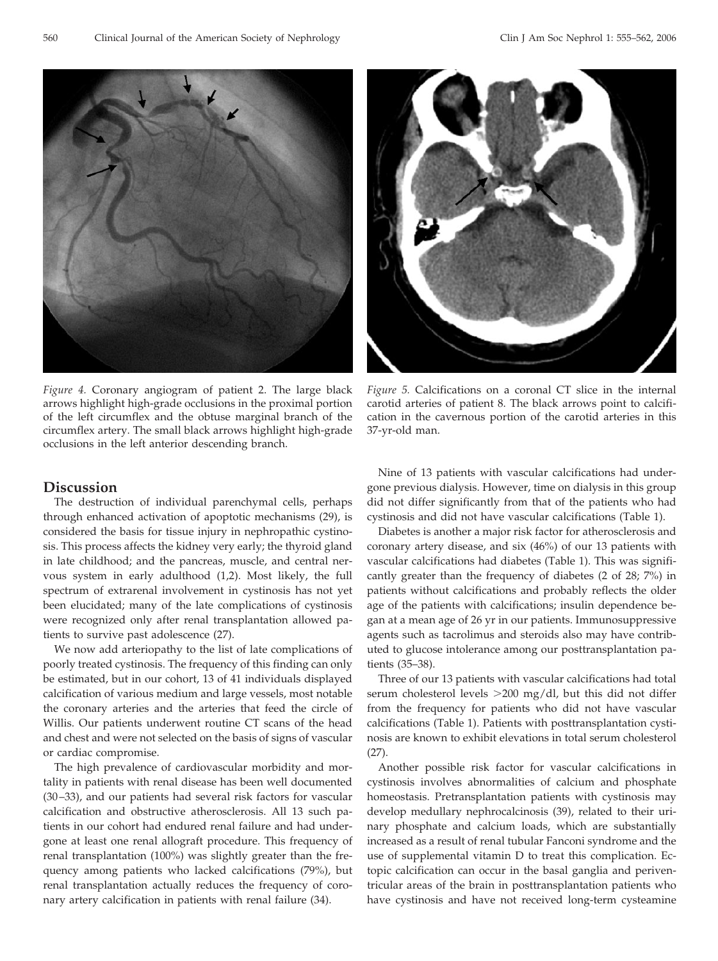

*Figure 4.* Coronary angiogram of patient 2. The large black arrows highlight high-grade occlusions in the proximal portion of the left circumflex and the obtuse marginal branch of the circumflex artery. The small black arrows highlight high-grade occlusions in the left anterior descending branch.



*Figure 5.* Calcifications on a coronal CT slice in the internal carotid arteries of patient 8. The black arrows point to calcification in the cavernous portion of the carotid arteries in this 37-yr-old man.

# **Discussion**

The destruction of individual parenchymal cells, perhaps through enhanced activation of apoptotic mechanisms (29), is considered the basis for tissue injury in nephropathic cystinosis. This process affects the kidney very early; the thyroid gland in late childhood; and the pancreas, muscle, and central nervous system in early adulthood (1,2). Most likely, the full spectrum of extrarenal involvement in cystinosis has not yet been elucidated; many of the late complications of cystinosis were recognized only after renal transplantation allowed patients to survive past adolescence (27).

We now add arteriopathy to the list of late complications of poorly treated cystinosis. The frequency of this finding can only be estimated, but in our cohort, 13 of 41 individuals displayed calcification of various medium and large vessels, most notable the coronary arteries and the arteries that feed the circle of Willis. Our patients underwent routine CT scans of the head and chest and were not selected on the basis of signs of vascular or cardiac compromise.

The high prevalence of cardiovascular morbidity and mortality in patients with renal disease has been well documented (30 –33), and our patients had several risk factors for vascular calcification and obstructive atherosclerosis. All 13 such patients in our cohort had endured renal failure and had undergone at least one renal allograft procedure. This frequency of renal transplantation (100%) was slightly greater than the frequency among patients who lacked calcifications (79%), but renal transplantation actually reduces the frequency of coronary artery calcification in patients with renal failure (34).

Nine of 13 patients with vascular calcifications had undergone previous dialysis. However, time on dialysis in this group did not differ significantly from that of the patients who had cystinosis and did not have vascular calcifications (Table 1).

Diabetes is another a major risk factor for atherosclerosis and coronary artery disease, and six (46%) of our 13 patients with vascular calcifications had diabetes (Table 1). This was significantly greater than the frequency of diabetes (2 of 28; 7%) in patients without calcifications and probably reflects the older age of the patients with calcifications; insulin dependence began at a mean age of 26 yr in our patients. Immunosuppressive agents such as tacrolimus and steroids also may have contributed to glucose intolerance among our posttransplantation patients (35–38).

Three of our 13 patients with vascular calcifications had total serum cholesterol levels 200 mg/dl, but this did not differ from the frequency for patients who did not have vascular calcifications (Table 1). Patients with posttransplantation cystinosis are known to exhibit elevations in total serum cholesterol (27).

Another possible risk factor for vascular calcifications in cystinosis involves abnormalities of calcium and phosphate homeostasis. Pretransplantation patients with cystinosis may develop medullary nephrocalcinosis (39), related to their urinary phosphate and calcium loads, which are substantially increased as a result of renal tubular Fanconi syndrome and the use of supplemental vitamin D to treat this complication. Ectopic calcification can occur in the basal ganglia and periventricular areas of the brain in posttransplantation patients who have cystinosis and have not received long-term cysteamine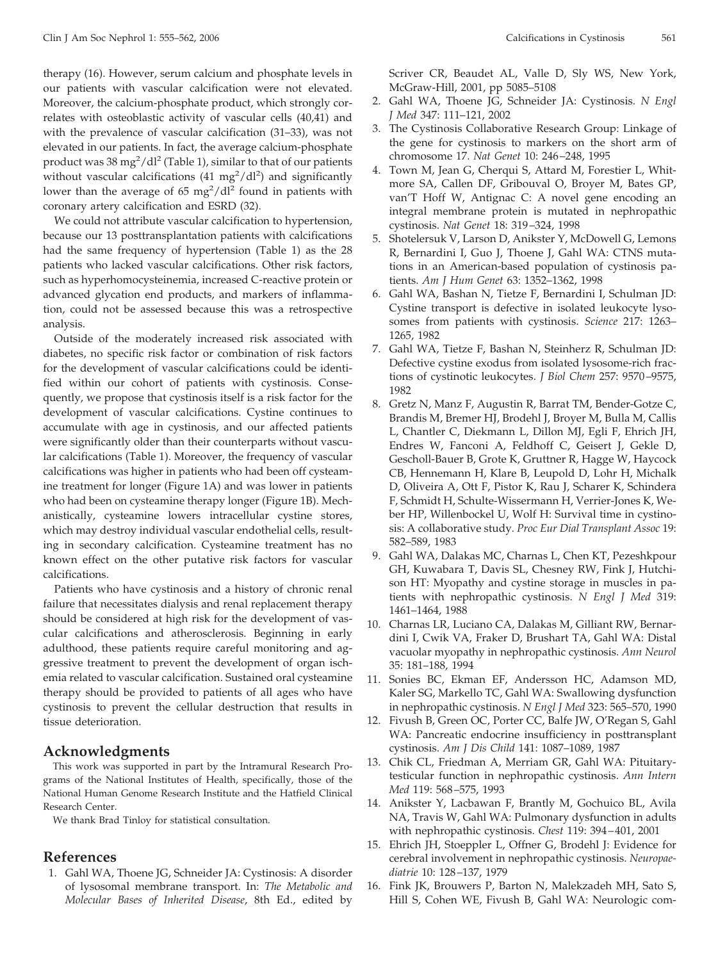therapy (16). However, serum calcium and phosphate levels in our patients with vascular calcification were not elevated. Moreover, the calcium-phosphate product, which strongly correlates with osteoblastic activity of vascular cells (40,41) and with the prevalence of vascular calcification (31–33), was not elevated in our patients. In fact, the average calcium-phosphate product was  $38 \text{ mg}^2/\text{dl}^2$  (Table 1), similar to that of our patients without vascular calcifications  $(41 \text{ mg}^2/dl^2)$  and significantly lower than the average of  $65 \text{ mg}^2/\text{dl}^2$  found in patients with coronary artery calcification and ESRD (32).

We could not attribute vascular calcification to hypertension, because our 13 posttransplantation patients with calcifications had the same frequency of hypertension (Table 1) as the 28 patients who lacked vascular calcifications. Other risk factors, such as hyperhomocysteinemia, increased C-reactive protein or advanced glycation end products, and markers of inflammation, could not be assessed because this was a retrospective analysis.

Outside of the moderately increased risk associated with diabetes, no specific risk factor or combination of risk factors for the development of vascular calcifications could be identified within our cohort of patients with cystinosis. Consequently, we propose that cystinosis itself is a risk factor for the development of vascular calcifications. Cystine continues to accumulate with age in cystinosis, and our affected patients were significantly older than their counterparts without vascular calcifications (Table 1). Moreover, the frequency of vascular calcifications was higher in patients who had been off cysteamine treatment for longer (Figure 1A) and was lower in patients who had been on cysteamine therapy longer (Figure 1B). Mechanistically, cysteamine lowers intracellular cystine stores, which may destroy individual vascular endothelial cells, resulting in secondary calcification. Cysteamine treatment has no known effect on the other putative risk factors for vascular calcifications.

Patients who have cystinosis and a history of chronic renal failure that necessitates dialysis and renal replacement therapy should be considered at high risk for the development of vascular calcifications and atherosclerosis. Beginning in early adulthood, these patients require careful monitoring and aggressive treatment to prevent the development of organ ischemia related to vascular calcification. Sustained oral cysteamine therapy should be provided to patients of all ages who have cystinosis to prevent the cellular destruction that results in tissue deterioration.

## **Acknowledgments**

This work was supported in part by the Intramural Research Programs of the National Institutes of Health, specifically, those of the National Human Genome Research Institute and the Hatfield Clinical Research Center.

We thank Brad Tinloy for statistical consultation.

## **References**

1. Gahl WA, Thoene JG, Schneider JA: Cystinosis: A disorder of lysosomal membrane transport. In: *The Metabolic and Molecular Bases of Inherited Disease*, 8th Ed., edited by Scriver CR, Beaudet AL, Valle D, Sly WS, New York, McGraw-Hill, 2001, pp 5085–5108

- 2. Gahl WA, Thoene JG, Schneider JA: Cystinosis. *N Engl J Med* 347: 111–121, 2002
- 3. The Cystinosis Collaborative Research Group: Linkage of the gene for cystinosis to markers on the short arm of chromosome 17. *Nat Genet* 10: 246 –248, 1995
- 4. Town M, Jean G, Cherqui S, Attard M, Forestier L, Whitmore SA, Callen DF, Gribouval O, Broyer M, Bates GP, van'T Hoff W, Antignac C: A novel gene encoding an integral membrane protein is mutated in nephropathic cystinosis. *Nat Genet* 18: 319 –324, 1998
- 5. Shotelersuk V, Larson D, Anikster Y, McDowell G, Lemons R, Bernardini I, Guo J, Thoene J, Gahl WA: CTNS mutations in an American-based population of cystinosis patients. *Am J Hum Genet* 63: 1352–1362, 1998
- 6. Gahl WA, Bashan N, Tietze F, Bernardini I, Schulman JD: Cystine transport is defective in isolated leukocyte lysosomes from patients with cystinosis. *Science* 217: 1263– 1265, 1982
- 7. Gahl WA, Tietze F, Bashan N, Steinherz R, Schulman JD: Defective cystine exodus from isolated lysosome-rich fractions of cystinotic leukocytes. *J Biol Chem* 257: 9570 –9575, 1982
- 8. Gretz N, Manz F, Augustin R, Barrat TM, Bender-Gotze C, Brandis M, Bremer HJ, Brodehl J, Broyer M, Bulla M, Callis L, Chantler C, Diekmann L, Dillon MJ, Egli F, Ehrich JH, Endres W, Fanconi A, Feldhoff C, Geisert J, Gekle D, Gescholl-Bauer B, Grote K, Gruttner R, Hagge W, Haycock CB, Hennemann H, Klare B, Leupold D, Lohr H, Michalk D, Oliveira A, Ott F, Pistor K, Rau J, Scharer K, Schindera F, Schmidt H, Schulte-Wissermann H, Verrier-Jones K, Weber HP, Willenbockel U, Wolf H: Survival time in cystinosis: A collaborative study. *Proc Eur Dial Transplant Assoc* 19: 582–589, 1983
- 9. Gahl WA, Dalakas MC, Charnas L, Chen KT, Pezeshkpour GH, Kuwabara T, Davis SL, Chesney RW, Fink J, Hutchison HT: Myopathy and cystine storage in muscles in patients with nephropathic cystinosis. *N Engl J Med* 319: 1461–1464, 1988
- 10. Charnas LR, Luciano CA, Dalakas M, Gilliant RW, Bernardini I, Cwik VA, Fraker D, Brushart TA, Gahl WA: Distal vacuolar myopathy in nephropathic cystinosis. *Ann Neurol* 35: 181–188, 1994
- 11. Sonies BC, Ekman EF, Andersson HC, Adamson MD, Kaler SG, Markello TC, Gahl WA: Swallowing dysfunction in nephropathic cystinosis. *N Engl J Med* 323: 565–570, 1990
- 12. Fivush B, Green OC, Porter CC, Balfe JW, O'Regan S, Gahl WA: Pancreatic endocrine insufficiency in posttransplant cystinosis. *Am J Dis Child* 141: 1087–1089, 1987
- 13. Chik CL, Friedman A, Merriam GR, Gahl WA: Pituitarytesticular function in nephropathic cystinosis. *Ann Intern Med* 119: 568 –575, 1993
- 14. Anikster Y, Lacbawan F, Brantly M, Gochuico BL, Avila NA, Travis W, Gahl WA: Pulmonary dysfunction in adults with nephropathic cystinosis. *Chest* 119: 394 – 401, 2001
- 15. Ehrich JH, Stoeppler L, Offner G, Brodehl J: Evidence for cerebral involvement in nephropathic cystinosis. *Neuropaediatrie* 10: 128 –137, 1979
- 16. Fink JK, Brouwers P, Barton N, Malekzadeh MH, Sato S, Hill S, Cohen WE, Fivush B, Gahl WA: Neurologic com-